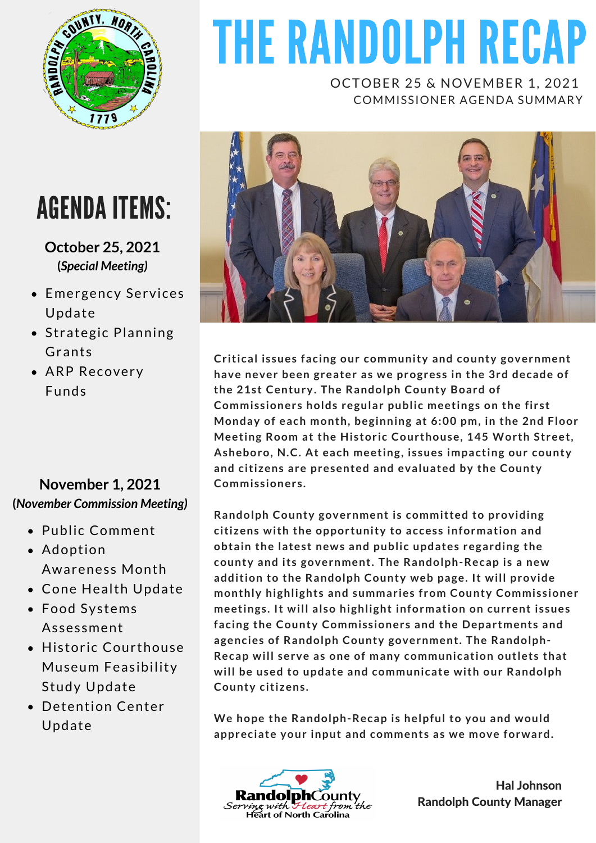

# THE RANDOLPH RECAP

#### OCTOBER 25 & NOVEMBER 1, 2021 COMMISSIONER AGENDA SUMMARY



**Critical issues facing our community and county government have never been greater as we progress in the 3rd decade of the 21st Century. The Randolph County Board of Commissioners holds regular public meetings on the first Monday of each month, beginning at 6:00 pm, in the 2nd Floor Meeting Room at the Historic Courthouse, 145 Worth Street, Asheboro, N.C. At each meeting, issues impacting our county and citizens are presented and evaluated by the County Commissioners.**

**Randolph County government is committed to providing citizens with the opportunity to access information and obtain the latest news and public updates regarding the county and its government. The Randolph-Recap is a new addition to the Randolph County web page. It will provide monthly highlights and summaries from County Commissioner meetings. It will also highlight information on current issues facing the County Commissioners and the Departments and agencies of Randolph County government. The Randolph-Recap will serve as one of many communication outlets that will be used to update and communicate with our Randolph County citizens.**

**We hope the Randolph-Recap is helpful to you and would appreciate your input and comments as we move forward.**



Hal Johnson Randolph County Manager

# AGENDA ITEMS:

#### **October 25, 2021 (***Special Meeting)*

- **Emergency Services** Update
- Strategic Planning Grants
- ARP Recovery Funds

#### **November 1, 2021 (***November Commission Meeting)*

- Public Comment
- Adoption Awareness Month
- Cone Health Update
- Food Systems Assessment
- Historic Courthouse Museum Feasibility Study Update
- Detention Center Update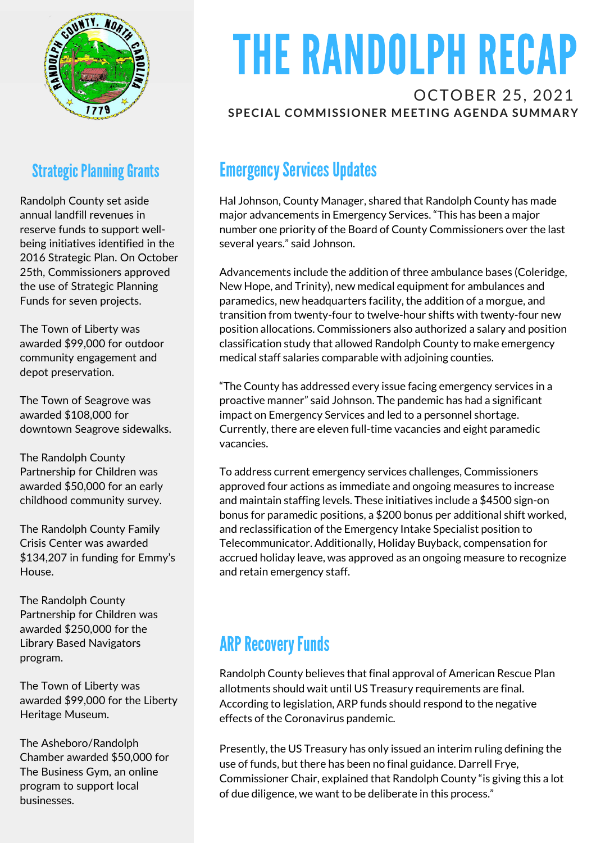

#### **Strategic Planning Grants**

Randolph County set aside annual landfill revenues in reserve funds to support wellbeing initiatives identified in the 2016 Strategic Plan. On October 25th, Commissioners approved the use of Strategic Planning Funds for seven projects.

The Town of Liberty was awarded \$99,000 for outdoor community engagement and depot preservation.

The Town of Seagrove was awarded \$108,000 for downtown Seagrove sidewalks.

The Randolph County Partnership for Children was awarded \$50,000 for an early childhood community survey.

The Randolph County Family Crisis Center was awarded \$134,207 in funding for Emmy's House.

The Randolph County Partnership for Children was awarded \$250,000 for the Library Based Navigators program.

The Town of Liberty was awarded \$99,000 for the Liberty Heritage Museum.

The Asheboro/Randolph Chamber awarded \$50,000 for The Business Gym, an online program to support local businesses.

# THE RANDOLPH RECAP

#### OCTOBER 25, 2021 **SPECIAL COMMISSIONER MEETING AGENDA SUMMARY**

## **Emergency Services Updates**

Hal Johnson, County Manager, shared that Randolph County has made major advancements in Emergency Services. "This has been a major number one priority of the Board of County Commissioners over the last several years." said Johnson.

Advancements include the addition of three ambulance bases (Coleridge, New Hope, and Trinity), new medical equipment for ambulances and paramedics, new headquarters facility, the addition of a morgue, and transition from twenty-four to twelve-hour shifts with twenty-four new position allocations. Commissioners also authorized a salary and position classification study that allowed Randolph County to make emergency medical staff salaries comparable with adjoining counties.

"The County has addressed every issue facing emergency services in a proactive manner" said Johnson. The pandemic has had a significant impact on Emergency Services and led to a personnel shortage. Currently, there are eleven full-time vacancies and eight paramedic vacancies.

To address current emergency services challenges, Commissioners approved four actions as immediate and ongoing measures to increase and maintain staffing levels. These initiatives include a \$4500 sign-on bonus for paramedic positions, a \$200 bonus per additional shift worked, and reclassification of the Emergency Intake Specialist position to Telecommunicator. Additionally, Holiday Buyback, compensation for accrued holiday leave, was approved as an ongoing measure to recognize and retain emergency staff.

## **ARP Recovery Funds**

Randolph County believes that final approval of American Rescue Plan allotments should wait until US Treasury requirements are final. According to legislation, ARP funds should respond to the negative effects of the Coronavirus pandemic.

Presently, the US Treasury has only issued an interim ruling defining the use of funds, but there has been no final guidance. Darrell Frye, Commissioner Chair, explained that Randolph County "is giving this a lot of due diligence, we want to be deliberate in this process."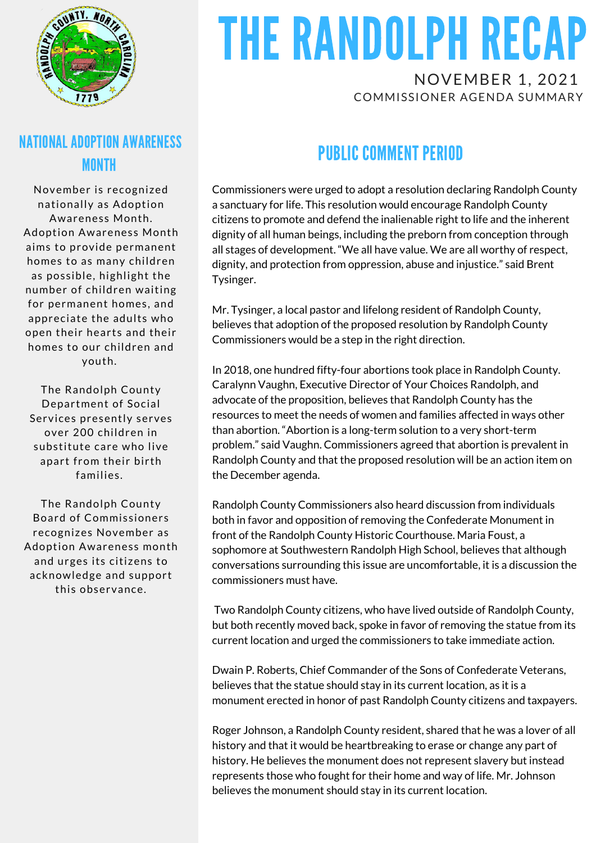

#### NATIONAL ADOPTION AWARENESS MONTH

November is recognized nationally as Adoption Awareness Month. Adoption Awareness Month aims to provide permanent homes to as many children as possible, highlight the number of children waiting for permanent homes, and appreciate the adults who open their hearts and their homes to our children and youth.

The Randolph County Department of Social Services presently serves over 200 children in substitute care who live apart from their birth families.

The Randolph County Board of Commissioners recognizes November as Adoption Awareness month and urges its citizens to acknowledge and support this observance.

# THE RANDOLPH RECAP NOVEMBER 1, 2021

COMMISSIONER AGENDA SUMMARY

### PUBLIC COMMENT PERIOD

Commissioners were urged to adopt a resolution declaring Randolph County a sanctuary for life. This resolution would encourage Randolph County citizens to promote and defend the inalienable right to life and the inherent dignity of all human beings, including the preborn from conception through all stages of development. "We all have value. We are all worthy of respect, dignity, and protection from oppression, abuse and injustice." said Brent Tysinger.

Mr. Tysinger, a local pastor and lifelong resident of Randolph County, believes that adoption of the proposed resolution by Randolph County Commissioners would be a step in the right direction.

In 2018, one hundred fifty-four abortions took place in Randolph County. Caralynn Vaughn, Executive Director of Your Choices Randolph, and advocate of the proposition, believes that Randolph County has the resources to meet the needs of women and families affected in ways other than abortion. "Abortion is a long-term solution to a very short-term problem." said Vaughn. Commissioners agreed that abortion is prevalent in Randolph County and that the proposed resolution will be an action item on the December agenda.

Randolph County Commissioners also heard discussion from individuals both in favor and opposition of removing the Confederate Monument in front of the Randolph County Historic Courthouse. Maria Foust, a sophomore at Southwestern Randolph High School, believes that although conversations surrounding this issue are uncomfortable, it is a discussion the commissioners must have.

Two Randolph County citizens, who have lived outside of Randolph County, but both recently moved back, spoke in favor of removing the statue from its current location and urged the commissioners to take immediate action.

Dwain P. Roberts, Chief Commander of the Sons of Confederate Veterans, believes that the statue should stay in its current location, as it is a monument erected in honor of past Randolph County citizens and taxpayers.

Roger Johnson, a Randolph County resident, shared that he was a lover of all history and that it would be heartbreaking to erase or change any part of history. He believes the monument does not represent slavery but instead represents those who fought for their home and way of life. Mr. Johnson believes the monument should stay in its current location.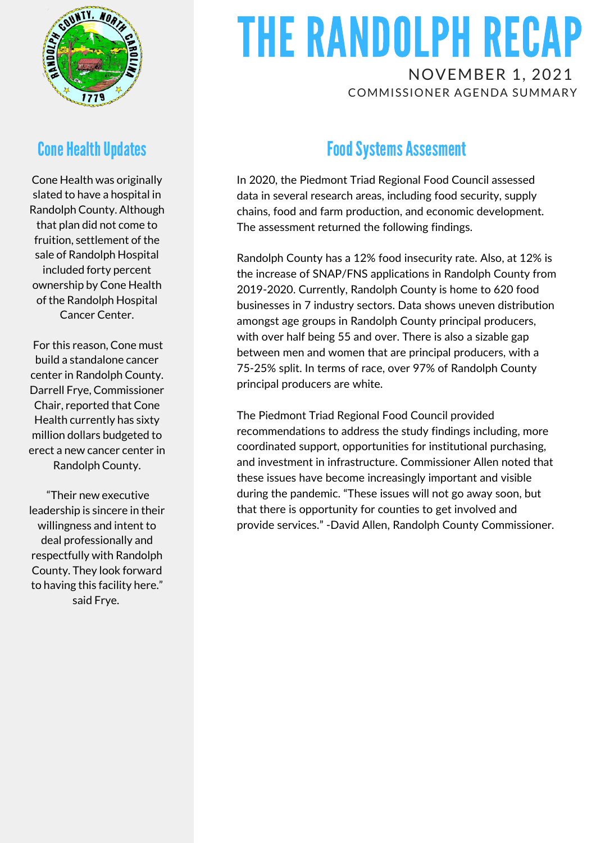

#### **Cone Health Updates**

Cone Health was originally slated to have a hospital in Randolph County. Although that plan did not come to fruition, settlement of the sale of Randolph Hospital included forty percent ownership by Cone Health of the Randolph Hospital Cancer Center.

For this reason, Cone must build a standalone cancer center in Randolph County. Darrell Frye, Commissioner Chair, reported that Cone Health currently has sixty million dollars budgeted to erect a new cancer center in Randolph County.

"Their new executive leadership is sincere in their willingness and intent to deal professionally and respectfully with Randolph County. They look forward to having this facility here." said Frye.

# THE RANDOLPH RECAP NOVEMBER 1, 2021

COMMISSIONER AGENDA SUMMARY

## **Food Systems Assesment**

In 2020, the Piedmont Triad Regional Food Council assessed data in several research areas, including food security, supply chains, food and farm production, and economic development. The assessment returned the following findings.

Randolph County has a 12% food insecurity rate. Also, at 12% is the increase of SNAP/FNS applications in Randolph County from 2019-2020. Currently, Randolph County is home to 620 food businesses in 7 industry sectors. Data shows uneven distribution amongst age groups in Randolph County principal producers, with over half being 55 and over. There is also a sizable gap between men and women that are principal producers, with a 75-25% split. In terms of race, over 97% of Randolph County principal producers are white.

The Piedmont Triad Regional Food Council provided recommendations to address the study findings including, more coordinated support, opportunities for institutional purchasing, and investment in infrastructure. Commissioner Allen noted that these issues have become increasingly important and visible during the pandemic. "These issues will not go away soon, but that there is opportunity for counties to get involved and provide services." -David Allen, Randolph County Commissioner.